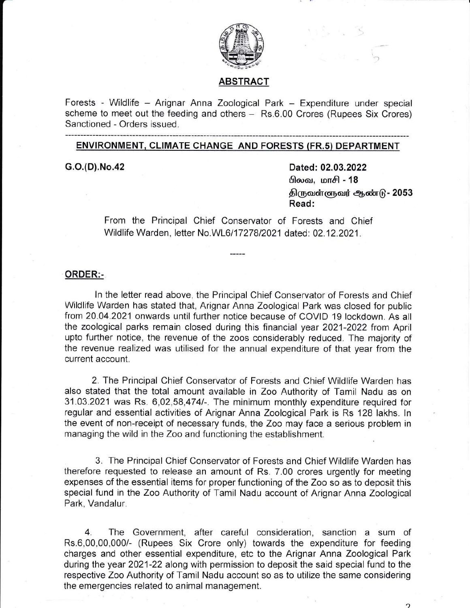

### ABSTRACT

Forests - Wildlife - Arignar Anna Zoological Park - Expenditure under special scheme to meet out the feeding and others - Rs.6.00 Crores (Rupees Six Crores) Sanctioned - Orders issued.

## ENVIRONMENT. CLIMATE CHANGE AND FORESTS (FR.s) DEPARTMENT

G.o.(D).No.42 Dated: 02.03.2022 **பிலவ, மாசி - 18** திருவள்ளுவர் ஆண்டு - 2053 Read:

> From the Principal Chief Conservator of Forests and Chief Wildlife Warden, letter No.WL6/17278/2021 dated: 02.12.2021.

#### ORDER:-

ln the letter read above, the Principal Chief Conservator of Forests and Chief Wildlife Warden has stated that, Arignar Anna Zoological Park was closed for public from 20.04.2021 onwards until further notice because of COVID 19 lockdown. As all the zoological parks remain closed during this financial year 2021-2022 from April upto further notice, the revenue of the zoos considerably reduced. The majority of the revenue realized was utilised for the annual expenditure of that year from the current account.

2. The Principal Chief Conservator of Forests and Chief Wildlife Warden has also stated that the total amount available in Zoo Authority of Tamil Nadu as on 31.03.2021 was Rs. 6,02,58,4741-. The minimum monthly expenditure required for regular and essential activities of Arignar Anna Zoological Park is Rs 128 lakhs. ln the event of non-receipt of necessary funds, the Zoo may face a serious problem in managing the wild in the Zoo and functioning the establishment.

3. The Principal Chief Conservator of Forests and Chief Wildlife Warden has therefore requested to release an amount of Rs. 7.00 crores urgently for meeting expenses of the essential items for proper functioning of the Zoo so as to deposit this special fund in the Zoo Authority of Tamil Nadu account of Arignar Anna Zoological Park, Vandalur.

4. The Government, after careful consideration, sanction a sum of Rs.6,00,00,000/- (Rupees Six Crore only) towards the expenditure for feeding charges and other essential expenditure, etc to the Arignar Anna Zoological Park during the year 2021-22 along with permission to deposit the said special fund to the respective Zoo Authority of Tamil Nadu account so as to utilize the same considering the emergencies related to animal management.